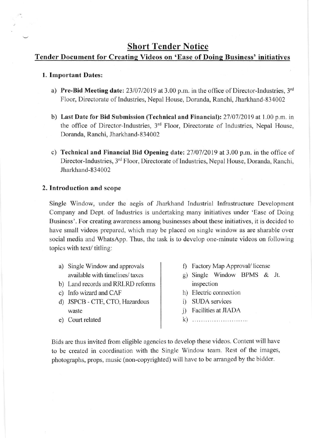# **Short Tender Notice**

## Tender Document for Creating Videos on 'Ease of Doing Business' initiatives

#### l. Important Dates:

- a) Pre-Bid Meeting date:  $23/07/2019$  at 3.00 p.m. in the office of Director-Industries,  $3<sup>rd</sup>$ Floor, Directorate of Industries, Nepal House, Doranda, Ranchi, Jharkhand-834002
- b) Last Date for Bid Submission (Technical and Financial): 27/07/2019 at 1.00 p.m. in the office of Director-lndustries, 3'd Floor, Directorate of Industries, Nepal House, Doranda, Ranchi, Jharkhand-834002
- c) Technical and Financial Bid Opening date:  $27/07/2019$  at 3.00 p.m. in the office of Director-Industries, 3<sup>rd</sup> Floor, Directorate of Industries, Nepal House, Doranda, Ranchi, Jharkhand-834002

### 2. Introduction and scope

Single Window, under the aegis of Jharkhand Industrial Infrastructure Development Company and Dept. of Industries is undertaking many initiatives under 'Ease of Doing Business'. For creating awareness among businesses about these initiatiyes, it is decided to have small videos prepared, which may be placed on single window as are sharable over social media and WhatsApp. Thus, the task is to develop one-minute videos on following topics with text/ titling:

- a) Single Window and approvals available with timelines/ taxes
- b) Land records and RRLRD reforms
- c) Info wizard and CAF
- d) JSPCB CTE, CTO, Hazardous waste
- e) Court related
- f) Factory Map Approval/license
- g) Single Window BPMS & Jt. inspection
- h) Electric comection
- i) SLIDA services
- j) Facilities at JIADA
- k) ............................

Bids are thus inyited from eligible agencies to develop these videos. Content will have to be created in coordination with the Single Window leam. Rest of the images, photographs, props, music (non-copyrighted) will have to be arranged by the bidder.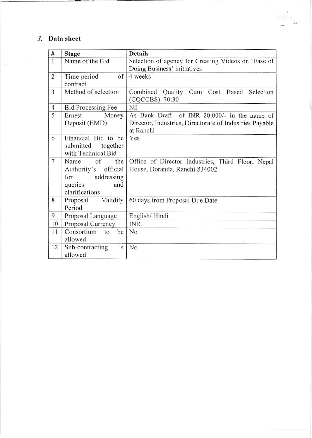## 3. Data sheet

| $\#$           | <b>Stage</b>                                                                                    | <b>Details</b>                                                                                                       |  |  |
|----------------|-------------------------------------------------------------------------------------------------|----------------------------------------------------------------------------------------------------------------------|--|--|
| $\overline{1}$ | Name of the Bid                                                                                 | Selection of agency for Creating Videos on 'Ease of<br>Doing Business' initiatives                                   |  |  |
| $\overline{2}$ | of<br>Time-period<br>contract                                                                   | 4 weeks                                                                                                              |  |  |
| 3              | Method of selection                                                                             | Combined Quality Cum Cost Based Selection<br>(CQCCBS): 70:30                                                         |  |  |
| $\overline{4}$ | <b>Bid Processing Fee</b>                                                                       | Nil                                                                                                                  |  |  |
| 5              | Ernest<br>Money<br>Deposit (EMD)                                                                | As Bank Draft of INR 20,000/- in the name of<br>Director, Industries, Directorate of Industries Payable<br>at Ranchi |  |  |
| 6              | Financial Bid to be<br>submitted together<br>with Technical Bid                                 | Yes                                                                                                                  |  |  |
| $\overline{7}$ | of<br>Name<br>the<br>Authority's official<br>for addressing<br>queries<br>and<br>clarifications | Office of Director Industries, Third Floor, Nepal<br>House, Doranda, Ranchi 834002                                   |  |  |
| 8              | Validity<br>Proposal<br>Period                                                                  | 60 days from Proposal Due Date                                                                                       |  |  |
| 9              | Proposal Language                                                                               | English/Hindi                                                                                                        |  |  |
| 10             | Proposal Currency                                                                               | <b>INR</b>                                                                                                           |  |  |
| 11             | Consortium<br>be<br>to<br>allowed                                                               | No                                                                                                                   |  |  |
| 12             | Sub-contracting<br>is<br>allowed                                                                | No                                                                                                                   |  |  |

дx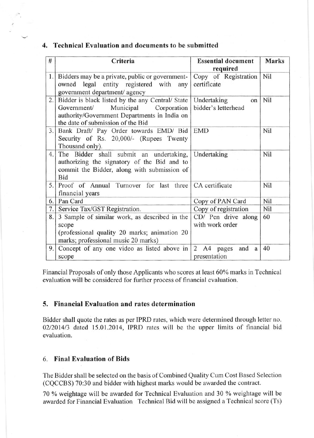#### 4. Technical Evaluation and documents to be submitted

| #                | Criteria                                                                                                                                                                         | <b>Essential document</b><br>required    | <b>Marks</b> |
|------------------|----------------------------------------------------------------------------------------------------------------------------------------------------------------------------------|------------------------------------------|--------------|
|                  | 1. Bidders may be a private, public or government-<br>owned legal entity registered with<br>any<br>government department/ agency                                                 | Copy of Registration<br>certificate      | Nil          |
| $\overline{2}$ . | Bidder is black listed by the any Central/ State<br>Municipal<br>Government/<br>Corporation<br>authority/Government Departments in India on<br>the date of submission of the Bid | Undertaking<br>on<br>bidder's letterhead | Nil          |
| 3.               | Bank Draft/ Pay Order towards EMD/ Bid<br>Security of Rs. 20,000/- (Rupees Twenty<br>Thousand only).                                                                             | <b>EMD</b>                               | Nil          |
| 4.               | The Bidder shall submit an undertaking, Undertaking<br>authorizing the signatory of the Bid and to<br>commit the Bidder, along with submission of<br>Bid                         |                                          | Nil          |
|                  | 5. Proof of Annual Turnover for last three CA certificate<br>financial years                                                                                                     |                                          | Nil          |
| 6.               | Pan Card                                                                                                                                                                         | Copy of PAN Card                         | Nil          |
| 7.               | Service Tax/GST Registration.                                                                                                                                                    | Copy of registration                     | Nil          |
| 8.               | 3 Sample of similar work, as described in the<br>scope<br>(professional quality 20 marks; animation 20<br>marks; professional music 20 marks)                                    | CD/ Pen drive along<br>with work order   | 60           |
| 9.               | Concept of any one video as listed above in<br>scope                                                                                                                             | 2 A4 pages<br>and<br>a<br>presentation   | 40           |

Financial Proposals of only those Applicants who scores at least 60% marks in Technical evaluation will be considered for further process of financial evaluation.

### 5. Financial Evaluation and rates determination

Bidder shall quote the rates as per IPRD rates, which were determined through letter no. 02/2014/3 dated 15.01.2014, IPRD rates will be the upper limits of financial bid evaluation.

### 6. Final Evaluation of Bids

The Bidder shall be selected on the basis of Combined Quality Cum Cost Based Selection (CQCCBS) 70:30 and bidder with highest marks would be awarded the contract.

70 % weightage will be awarded for Technical Evaluation and 30 % weightage will be awarded for Financial Evaluation Technical Bid will be assigned a Technical score (Ts)